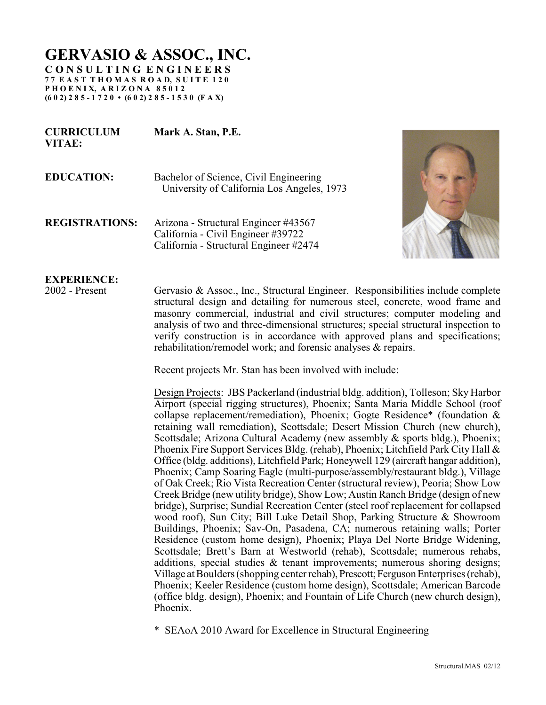## **GERVASIO & ASSOC., INC.**

**C O N S U L T I N G E N G I N E E R S 7 7 E A S T T H O M A S R O A D, S U I T E 1 2 0 P H O E N I X, A R I Z O N A 8 5 0 1 2 (6 0 2) 2 8 5 - 1 7 2 0 • (6 0 2) 2 8 5 - 1 5 3 0 (F A X)**

**CURRICULUM Mark A. Stan, P.E.**

| <b>EDUCATION:</b> | Bachelor of Science, Civil Engineering<br>University of California Los Angeles, 1973 |
|-------------------|--------------------------------------------------------------------------------------|

**REGISTRATIONS:** Arizona - Structural Engineer #43567 California - Civil Engineer #39722 California - Structural Engineer #2474



## **EXPERIENCE:**

**VITAE:**

2002 - Present Gervasio & Assoc., Inc., Structural Engineer. Responsibilities include complete structural design and detailing for numerous steel, concrete, wood frame and masonry commercial, industrial and civil structures; computer modeling and analysis of two and three-dimensional structures; special structural inspection to verify construction is in accordance with approved plans and specifications; rehabilitation/remodel work; and forensic analyses & repairs.

Recent projects Mr. Stan has been involved with include:

Design Projects: JBS Packerland (industrial bldg. addition), Tolleson; Sky Harbor Airport (special rigging structures), Phoenix; Santa Maria Middle School (roof collapse replacement/remediation), Phoenix; Gogte Residence\* (foundation & retaining wall remediation), Scottsdale; Desert Mission Church (new church), Scottsdale; Arizona Cultural Academy (new assembly & sports bldg.), Phoenix; Phoenix Fire Support Services Bldg. (rehab), Phoenix; Litchfield Park City Hall & Office (bldg. additions), Litchfield Park; Honeywell 129 (aircraft hangar addition), Phoenix; Camp Soaring Eagle (multi-purpose/assembly/restaurant bldg.), Village of Oak Creek; Rio Vista Recreation Center (structural review), Peoria; Show Low Creek Bridge (new utility bridge), Show Low; Austin Ranch Bridge (design of new bridge), Surprise; Sundial Recreation Center (steel roof replacement for collapsed wood roof), Sun City; Bill Luke Detail Shop, Parking Structure & Showroom Buildings, Phoenix; Sav-On, Pasadena, CA; numerous retaining walls; Porter Residence (custom home design), Phoenix; Playa Del Norte Bridge Widening, Scottsdale; Brett's Barn at Westworld (rehab), Scottsdale; numerous rehabs, additions, special studies & tenant improvements; numerous shoring designs; Village at Boulders (shopping center rehab), Prescott; FergusonEnterprises (rehab), Phoenix; Keeler Residence (custom home design), Scottsdale; American Barcode (office bldg. design), Phoenix; and Fountain of Life Church (new church design), Phoenix.

\* SEAoA 2010 Award for Excellence in Structural Engineering